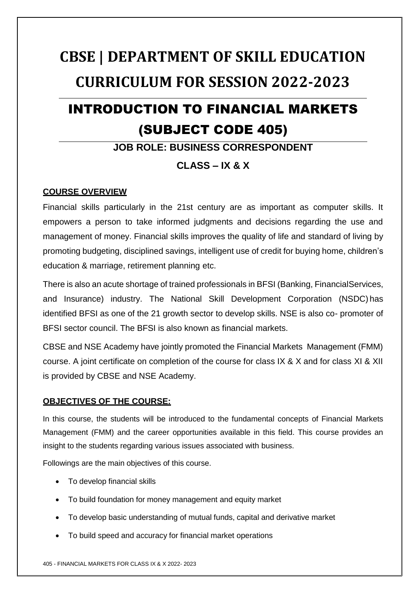# **CBSE | DEPARTMENT OF SKILL EDUCATION CURRICULUM FOR SESSION 2022-2023**

## INTRODUCTION TO FINANCIAL MARKETS (SUBJECT CODE 405)

## **JOB ROLE: BUSINESS CORRESPONDENT**

## **CLASS – IX & X**

#### **COURSE OVERVIEW**

Financial skills particularly in the 21st century are as important as computer skills. It empowers a person to take informed judgments and decisions regarding the use and management of money. Financial skills improves the quality of life and standard of living by promoting budgeting, disciplined savings, intelligent use of credit for buying home, children's education & marriage, retirement planning etc.

There is also an acute shortage of trained professionals in BFSI (Banking, FinancialServices, and Insurance) industry. The National Skill Development Corporation (NSDC) has identified BFSI as one of the 21 growth sector to develop skills. NSE is also co- promoter of BFSI sector council. The BFSI is also known as financial markets.

CBSE and NSE Academy have jointly promoted the Financial Markets Management (FMM) course. A joint certificate on completion of the course for class IX & X and for class XI & XII is provided by CBSE and NSE Academy.

#### **OBJECTIVES OF THE COURSE:**

In this course, the students will be introduced to the fundamental concepts of Financial Markets Management (FMM) and the career opportunities available in this field. This course provides an insight to the students regarding various issues associated with business.

Followings are the main objectives of this course.

- To develop financial skills
- To build foundation for money management and equity market
- To develop basic understanding of mutual funds, capital and derivative market
- To build speed and accuracy for financial market operations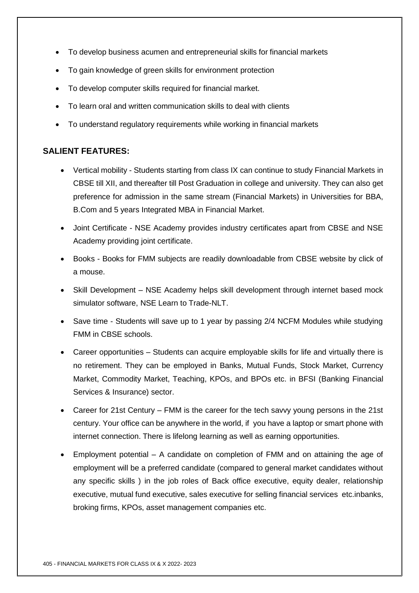- To develop business acumen and entrepreneurial skills for financial markets
- To gain knowledge of green skills for environment protection
- To develop computer skills required for financial market.
- To learn oral and written communication skills to deal with clients
- To understand regulatory requirements while working in financial markets

#### **SALIENT FEATURES:**

- Vertical mobility Students starting from class IX can continue to study Financial Markets in CBSE till XII, and thereafter till Post Graduation in college and university. They can also get preference for admission in the same stream (Financial Markets) in Universities for BBA, B.Com and 5 years Integrated MBA in Financial Market.
- Joint Certificate NSE Academy provides industry certificates apart from CBSE and NSE Academy providing joint certificate.
- Books Books for FMM subjects are readily downloadable from CBSE website by click of a mouse.
- Skill Development NSE Academy helps skill development through internet based mock simulator software, NSE Learn to Trade-NLT.
- Save time Students will save up to 1 year by passing 2/4 NCFM Modules while studying FMM in CBSE schools.
- Career opportunities Students can acquire employable skills for life and virtually there is no retirement. They can be employed in Banks, Mutual Funds, Stock Market, Currency Market, Commodity Market, Teaching, KPOs, and BPOs etc. in BFSI (Banking Financial Services & Insurance) sector.
- Career for 21st Century FMM is the career for the tech savvy young persons in the 21st century. Your office can be anywhere in the world, if you have a laptop or smart phone with internet connection. There is lifelong learning as well as earning opportunities.
- Employment potential A candidate on completion of FMM and on attaining the age of employment will be a preferred candidate (compared to general market candidates without any specific skills ) in the job roles of Back office executive, equity dealer, relationship executive, mutual fund executive, sales executive for selling financial services etc.inbanks, broking firms, KPOs, asset management companies etc.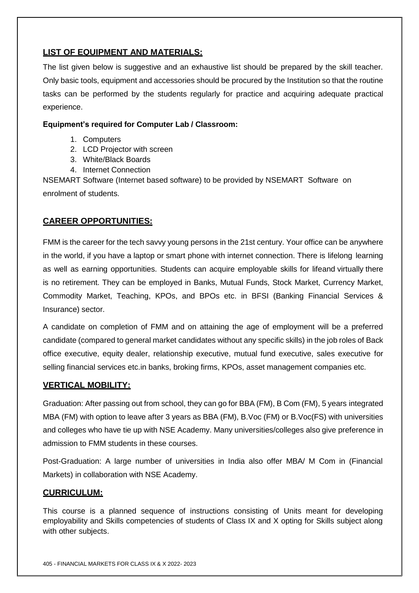#### **LIST OF EQUIPMENT AND MATERIALS:**

The list given below is suggestive and an exhaustive list should be prepared by the skill teacher. Only basic tools, equipment and accessories should be procured by the Institution so that the routine tasks can be performed by the students regularly for practice and acquiring adequate practical experience.

#### **Equipment's required for Computer Lab / Classroom:**

- 1. Computers
- 2. LCD Projector with screen
- 3. White/Black Boards
- 4. Internet Connection

NSEMART Software (Internet based software) to be provided by NSEMART Software on enrolment of students.

#### **CAREER OPPORTUNITIES:**

FMM is the career for the tech savvy young persons in the 21st century. Your office can be anywhere in the world, if you have a laptop or smart phone with internet connection. There is lifelong learning as well as earning opportunities. Students can acquire employable skills for lifeand virtually there is no retirement. They can be employed in Banks, Mutual Funds, Stock Market, Currency Market, Commodity Market, Teaching, KPOs, and BPOs etc. in BFSI (Banking Financial Services & Insurance) sector.

A candidate on completion of FMM and on attaining the age of employment will be a preferred candidate (compared to general market candidates without any specific skills) in the job roles of Back office executive, equity dealer, relationship executive, mutual fund executive, sales executive for selling financial services etc.in banks, broking firms, KPOs, asset management companies etc.

#### **VERTICAL MOBILITY:**

Graduation: After passing out from school, they can go for BBA (FM), B Com (FM), 5 years integrated MBA (FM) with option to leave after 3 years as BBA (FM), B.Voc (FM) or B.Voc(FS) with universities and colleges who have tie up with NSE Academy. Many universities/colleges also give preference in admission to FMM students in these courses.

Post-Graduation: A large number of universities in India also offer MBA/ M Com in (Financial Markets) in collaboration with NSE Academy.

#### **CURRICULUM:**

This course is a planned sequence of instructions consisting of Units meant for developing employability and Skills competencies of students of Class IX and X opting for Skills subject along with other subjects.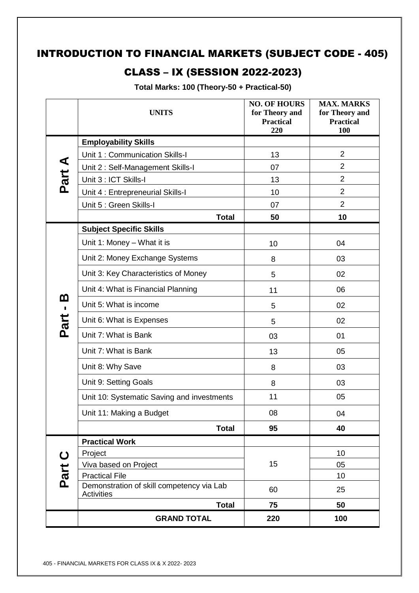## INTRODUCTION TO FINANCIAL MARKETS (SUBJECT CODE - 405)

## CLASS – IX (SESSION 2022-2023)

**Total Marks: 100 (Theory-50 + Practical-50)**

|                            | <b>UNITS</b>                                                       | <b>NO. OF HOURS</b><br>for Theory and<br><b>Practical</b><br>220 | <b>MAX. MARKS</b><br>for Theory and<br><b>Practical</b><br>100 |
|----------------------------|--------------------------------------------------------------------|------------------------------------------------------------------|----------------------------------------------------------------|
|                            | <b>Employability Skills</b>                                        |                                                                  |                                                                |
|                            | Unit 1: Communication Skills-I                                     | 13                                                               | $\overline{2}$                                                 |
| Part A                     | Unit 2: Self-Management Skills-I                                   | 07                                                               | $\overline{2}$                                                 |
|                            | Unit 3 : ICT Skills-I                                              | 13                                                               | $\overline{2}$                                                 |
|                            | Unit 4 : Entrepreneurial Skills-I                                  | 10                                                               | $\overline{2}$                                                 |
|                            | Unit 5 : Green Skills-I                                            | 07                                                               | $\overline{2}$                                                 |
|                            | <b>Total</b>                                                       | 50                                                               | 10                                                             |
|                            | <b>Subject Specific Skills</b>                                     |                                                                  |                                                                |
|                            | Unit 1: Money - What it is                                         | 10                                                               | 04                                                             |
|                            | Unit 2: Money Exchange Systems                                     | 8                                                                | 03                                                             |
|                            | Unit 3: Key Characteristics of Money                               | 5                                                                | 02                                                             |
|                            | Unit 4: What is Financial Planning                                 | 11                                                               | 06                                                             |
| <u>ന</u><br>$\blacksquare$ | Unit 5: What is income                                             | 5                                                                | 02                                                             |
| Part                       | Unit 6: What is Expenses                                           | 5                                                                | 02                                                             |
|                            | Unit 7: What is Bank                                               | 03                                                               | 01                                                             |
|                            | Unit 7: What is Bank                                               | 13                                                               | 05                                                             |
|                            | Unit 8: Why Save                                                   | 8                                                                | 03                                                             |
|                            | Unit 9: Setting Goals                                              | 8                                                                | 03                                                             |
|                            | Unit 10: Systematic Saving and investments                         | 11                                                               | 05                                                             |
|                            | Unit 11: Making a Budget                                           | 08                                                               | 04                                                             |
|                            | <b>Total</b>                                                       | 95                                                               | 40                                                             |
|                            | <b>Practical Work</b>                                              |                                                                  |                                                                |
| $\mathbf C$                | Project                                                            |                                                                  | 10                                                             |
|                            | Viva based on Project                                              | 15                                                               | 05                                                             |
| Part                       | <b>Practical File</b><br>Demonstration of skill competency via Lab |                                                                  | 10                                                             |
|                            | <b>Activities</b>                                                  | 60                                                               | 25                                                             |
|                            | <b>Total</b>                                                       | 75                                                               | 50                                                             |
|                            | <b>GRAND TOTAL</b>                                                 | 220                                                              | 100                                                            |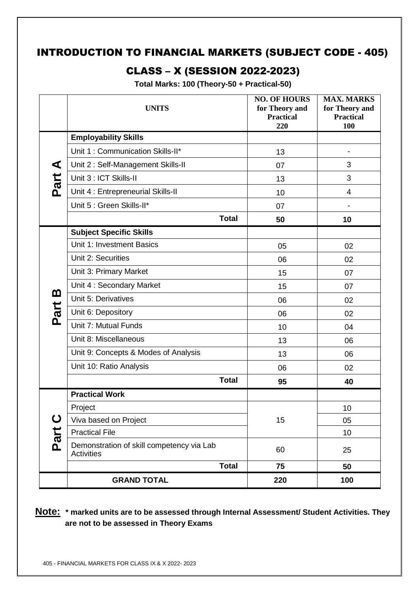## INTRODUCTION TO FINANCIAL MARKETS (SUBJECT CODE - 405)

## CLASS – X (SESSION 2022-2023)

**Total Marks: 100 (Theory-50 + Practical-50)**

|                      | <b>UNITS</b>                                                   | <b>NO. OF HOURS</b><br>for Theory and<br><b>Practical</b><br>220 | <b>MAX. MARKS</b><br>for Theory and<br><b>Practical</b><br>100 |
|----------------------|----------------------------------------------------------------|------------------------------------------------------------------|----------------------------------------------------------------|
|                      | <b>Employability Skills</b>                                    |                                                                  |                                                                |
|                      | Unit 1: Communication Skills-II*                               | 13                                                               |                                                                |
| $\blacktriangleleft$ | Unit 2: Self-Management Skills-II                              | 07                                                               | 3                                                              |
| Part                 | Unit 3 : ICT Skills-II                                         | 13                                                               | 3                                                              |
|                      | Unit 4 : Entrepreneurial Skills-II                             | 10                                                               | 4                                                              |
|                      | Unit 5 : Green Skills-II*                                      | 07                                                               |                                                                |
|                      | <b>Total</b>                                                   | 50                                                               | 10                                                             |
|                      | <b>Subject Specific Skills</b>                                 |                                                                  |                                                                |
|                      | Unit 1: Investment Basics                                      | 05                                                               | 02                                                             |
|                      | Unit 2: Securities                                             | 06                                                               | 02                                                             |
|                      | Unit 3: Primary Market                                         | 15                                                               | 07                                                             |
|                      | Unit 4: Secondary Market                                       | 15                                                               | 07                                                             |
| <u>ጠ</u>             | Unit 5: Derivatives                                            | 06                                                               | 02                                                             |
| Part                 | Unit 6: Depository                                             | 06                                                               | 02                                                             |
|                      | Unit 7: Mutual Funds                                           | 10                                                               | 04                                                             |
|                      | Unit 8: Miscellaneous                                          | 13                                                               | 06                                                             |
|                      | Unit 9: Concepts & Modes of Analysis                           | 13                                                               | 06                                                             |
|                      | Unit 10: Ratio Analysis                                        | 06                                                               | 02                                                             |
|                      | <b>Total</b>                                                   | 95                                                               | 40                                                             |
|                      | <b>Practical Work</b>                                          |                                                                  |                                                                |
|                      | Project                                                        |                                                                  | 10                                                             |
| $\mathbf C$          | Viva based on Project                                          | 15                                                               | 05                                                             |
| Part                 | <b>Practical File</b>                                          |                                                                  | 10                                                             |
|                      | Demonstration of skill competency via Lab<br><b>Activities</b> | 60                                                               | 25                                                             |
|                      | <b>Total</b>                                                   | 75                                                               | 50                                                             |
|                      | <b>GRAND TOTAL</b>                                             | 220                                                              | 100                                                            |

**Note: \* marked units are to be assessed through Internal Assessment/ Student Activities. They are not to be assessed in Theory Exams**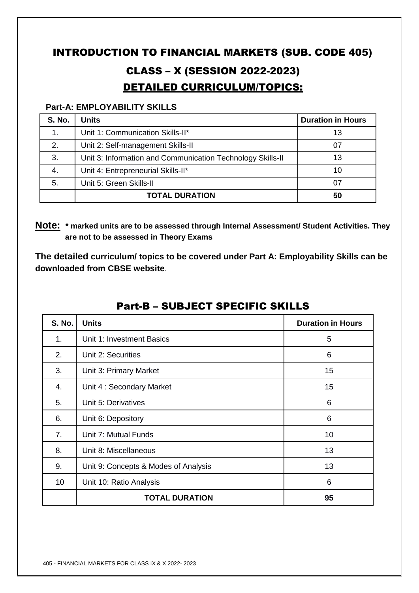## INTRODUCTION TO FINANCIAL MARKETS (SUB. CODE 405)

## CLASS – X (SESSION 2022-2023) DETAILED CURRICULUM/TOPICS:

#### **Part-A: EMPLOYABILITY SKILLS**

| <b>S. No.</b> | <b>Units</b>                                               | <b>Duration in Hours</b> |
|---------------|------------------------------------------------------------|--------------------------|
|               | Unit 1: Communication Skills-II*                           | 13                       |
| 2.            | Unit 2: Self-management Skills-II                          | 07                       |
| 3.            | Unit 3: Information and Communication Technology Skills-II | 13                       |
| 4.            | Unit 4: Entrepreneurial Skills-II*                         | 10                       |
| 5.            | Unit 5: Green Skills-II                                    | 07                       |
|               | <b>TOTAL DURATION</b>                                      | 50                       |

**Note: \* marked units are to be assessed through Internal Assessment/ Student Activities. They are not to be assessed in Theory Exams** 

**The detailed curriculum/ topics to be covered under Part A: Employability Skills can be downloaded from CBSE website**.

| <b>S. No.</b> | <b>Units</b>                         | <b>Duration in Hours</b> |
|---------------|--------------------------------------|--------------------------|
| 1.            | Unit 1: Investment Basics            | 5                        |
| 2.            | Unit 2: Securities                   | 6                        |
| 3.            | Unit 3: Primary Market               | 15                       |
| 4.            | Unit 4: Secondary Market             | 15                       |
| 5.            | Unit 5: Derivatives                  | 6                        |
| 6.            | Unit 6: Depository                   | 6                        |
| 7.            | Unit 7: Mutual Funds                 | 10                       |
| 8.            | Unit 8: Miscellaneous                | 13                       |
| 9.            | Unit 9: Concepts & Modes of Analysis | 13                       |
| 10            | Unit 10: Ratio Analysis              | 6                        |
|               | <b>TOTAL DURATION</b>                | 95                       |

## Part-B – SUBJECT SPECIFIC SKILLS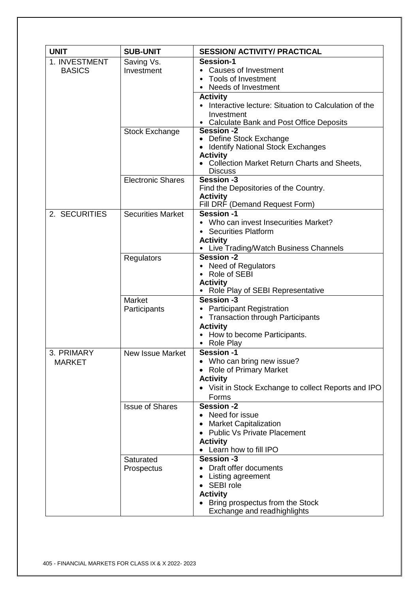| <b>UNIT</b>                    | <b>SUB-UNIT</b>          | <b>SESSION/ ACTIVITY/ PRACTICAL</b>                                                                                                                                                                                            |
|--------------------------------|--------------------------|--------------------------------------------------------------------------------------------------------------------------------------------------------------------------------------------------------------------------------|
| 1. INVESTMENT<br><b>BASICS</b> | Saving Vs.<br>Investment | Session-1<br><b>Causes of Investment</b><br>Tools of Investment<br>Needs of Investment<br><b>Activity</b><br>• Interactive lecture: Situation to Calculation of the<br>Investment<br>• Calculate Bank and Post Office Deposits |
|                                | <b>Stock Exchange</b>    | <b>Session -2</b><br>• Define Stock Exchange<br><b>Identify National Stock Exchanges</b><br><b>Activity</b><br>• Collection Market Return Charts and Sheets,<br><b>Discuss</b>                                                 |
|                                | <b>Electronic Shares</b> | Session -3<br>Find the Depositories of the Country.<br><b>Activity</b><br>Fill DRF (Demand Request Form)                                                                                                                       |
| 2. SECURITIES                  | <b>Securities Market</b> | Session -1<br>• Who can invest Insecurities Market?<br><b>Securities Platform</b><br><b>Activity</b><br>• Live Trading/Watch Business Channels                                                                                 |
|                                | Regulators               | Session -2<br>• Need of Regulators<br>• Role of SEBI<br><b>Activity</b><br>Role Play of SEBI Representative                                                                                                                    |
|                                | Market<br>Participants   | Session -3<br>• Participant Registration<br><b>Transaction through Participants</b><br>$\bullet$<br><b>Activity</b><br>• How to become Participants.<br>Role Play<br>٠                                                         |
| 3. PRIMARY<br><b>MARKET</b>    | <b>New Issue Market</b>  | <b>Session-1</b><br>Who can bring new issue?<br><b>Role of Primary Market</b><br><b>Activity</b><br>• Visit in Stock Exchange to collect Reports and IPO<br>Forms                                                              |
|                                | <b>Issue of Shares</b>   | Session -2<br>• Need for issue<br><b>Market Capitalization</b><br><b>Public Vs Private Placement</b><br><b>Activity</b><br>Learn how to fill IPO                                                                               |
|                                | Saturated<br>Prospectus  | <b>Session -3</b><br>Draft offer documents<br>Listing agreement<br>SEBI role<br><b>Activity</b><br>Bring prospectus from the Stock<br>Exchange and readhighlights                                                              |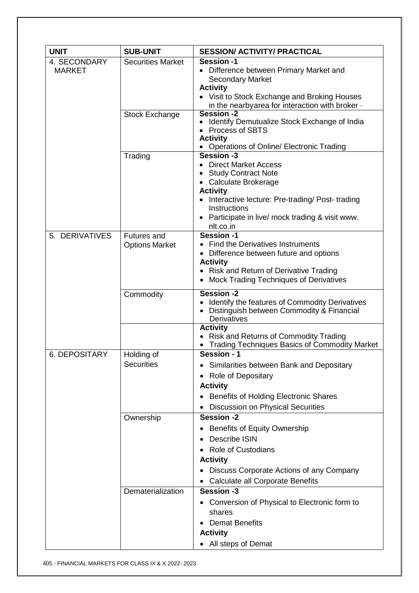| <b>UNIT</b>                   | <b>SUB-UNIT</b>                             | <b>SESSION/ ACTIVITY/ PRACTICAL</b>                                                                                                                                                                                                               |
|-------------------------------|---------------------------------------------|---------------------------------------------------------------------------------------------------------------------------------------------------------------------------------------------------------------------------------------------------|
| 4. SECONDARY<br><b>MARKET</b> | <b>Securities Market</b>                    | Session -1<br>• Difference between Primary Market and<br><b>Secondary Market</b><br><b>Activity</b><br>• Visit to Stock Exchange and Broking Houses                                                                                               |
|                               | <b>Stock Exchange</b>                       | in the nearbyarea for interaction with broker $\cdot$<br>Session -2<br>Identify Demutualize Stock Exchange of India<br><b>Process of SBTS</b><br><b>Activity</b><br><b>Operations of Online/ Electronic Trading</b>                               |
|                               | Trading                                     | Session -3<br>• Direct Market Access<br><b>Study Contract Note</b><br>• Calculate Brokerage<br><b>Activity</b><br>• Interactive lecture: Pre-trading/ Post-trading<br>Instructions<br>Participate in live/ mock trading & visit www.<br>nlt.co.in |
| 5. DERIVATIVES                | <b>Futures and</b><br><b>Options Market</b> | Session -1<br>• Find the Derivatives Instruments<br>• Difference between future and options<br><b>Activity</b><br>• Risk and Return of Derivative Trading<br><b>Mock Trading Techniques of Derivatives</b><br>$\bullet$                           |
|                               | Commodity                                   | <b>Session -2</b><br>Identify the features of Commodity Derivatives<br>• Distinguish between Commodity & Financial<br>Derivatives                                                                                                                 |
|                               |                                             | <b>Activity</b><br><b>Risk and Returns of Commodity Trading</b><br><b>Trading Techniques Basics of Commodity Market</b>                                                                                                                           |
| <b>6. DEPOSITARY</b>          | Holding of<br><b>Securities</b>             | Session - 1<br>Similarities between Bank and Depositary<br><b>Role of Depositary</b><br>$\bullet$<br><b>Activity</b><br><b>Benefits of Holding Electronic Shares</b><br><b>Discussion on Physical Securities</b>                                  |
|                               | Ownership                                   | <b>Session -2</b><br><b>Benefits of Equity Ownership</b><br>Describe ISIN<br><b>Role of Custodians</b><br><b>Activity</b><br>Discuss Corporate Actions of any Company<br><b>Calculate all Corporate Benefits</b>                                  |
|                               | Dematerialization                           | <b>Session -3</b><br>Conversion of Physical to Electronic form to<br>shares<br><b>Demat Benefits</b><br><b>Activity</b><br>All steps of Demat                                                                                                     |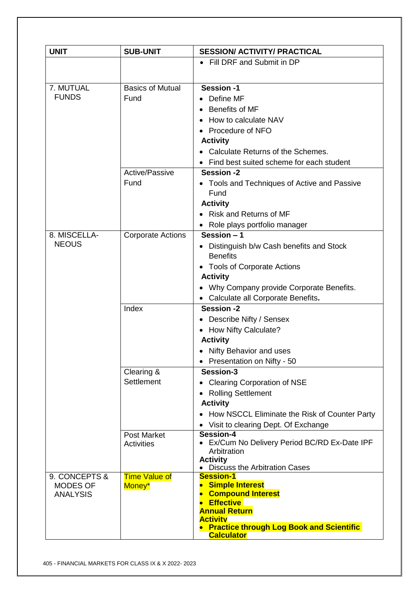| <b>UNIT</b>                  | <b>SUB-UNIT</b>          | <b>SESSION/ ACTIVITY/ PRACTICAL</b>                                     |
|------------------------------|--------------------------|-------------------------------------------------------------------------|
|                              |                          | • Fill DRF and Submit in DP                                             |
|                              |                          |                                                                         |
| 7. MUTUAL                    | <b>Basics of Mutual</b>  | Session -1                                                              |
| <b>FUNDS</b>                 | Fund                     | Define MF<br>$\bullet$                                                  |
|                              |                          | Benefits of MF                                                          |
|                              |                          | How to calculate NAV                                                    |
|                              |                          | Procedure of NFO                                                        |
|                              |                          | <b>Activity</b>                                                         |
|                              |                          | Calculate Returns of the Schemes.                                       |
|                              |                          | Find best suited scheme for each student                                |
|                              | Active/Passive           | <b>Session -2</b>                                                       |
|                              | Fund                     | • Tools and Techniques of Active and Passive                            |
|                              |                          | Fund                                                                    |
|                              |                          | <b>Activity</b>                                                         |
|                              |                          | <b>Risk and Returns of MF</b>                                           |
|                              |                          | Role plays portfolio manager                                            |
| 8. MISCELLA-<br><b>NEOUS</b> | <b>Corporate Actions</b> | Session - 1                                                             |
|                              |                          | Distinguish b/w Cash benefits and Stock<br>$\bullet$<br><b>Benefits</b> |
|                              |                          | • Tools of Corporate Actions                                            |
|                              |                          | <b>Activity</b>                                                         |
|                              |                          | Why Company provide Corporate Benefits.                                 |
|                              |                          | • Calculate all Corporate Benefits.                                     |
|                              | Index                    | <b>Session -2</b>                                                       |
|                              |                          | Describe Nifty / Sensex                                                 |
|                              |                          | <b>How Nifty Calculate?</b><br>$\bullet$                                |
|                              |                          | <b>Activity</b>                                                         |
|                              |                          | • Nifty Behavior and uses                                               |
|                              | Clearing &               | • Presentation on Nifty - 50<br>Session-3                               |
|                              | Settlement               | <b>Clearing Corporation of NSE</b>                                      |
|                              |                          | <b>Rolling Settlement</b>                                               |
|                              |                          | <b>Activity</b>                                                         |
|                              |                          | How NSCCL Eliminate the Risk of Counter Party                           |
|                              |                          | • Visit to clearing Dept. Of Exchange                                   |
|                              | <b>Post Market</b>       | Session-4                                                               |
|                              | <b>Activities</b>        | Ex/Cum No Delivery Period BC/RD Ex-Date IPF                             |
|                              |                          | Arbitration                                                             |
|                              |                          | <b>Activity</b><br><b>Discuss the Arbitration Cases</b>                 |
| 9. CONCEPTS &                | <b>Time Value of</b>     | <b>Session-1</b>                                                        |
| <b>MODES OF</b>              | Money*                   | <b>Simple Interest</b>                                                  |
| <b>ANALYSIS</b>              |                          | <b>Compound Interest</b><br><b>Effective</b>                            |
|                              |                          | <b>Annual Return</b>                                                    |
|                              |                          | <b>Activity</b>                                                         |
|                              |                          | <b>Practice through Log Book and Scientific</b><br><b>Calculator</b>    |